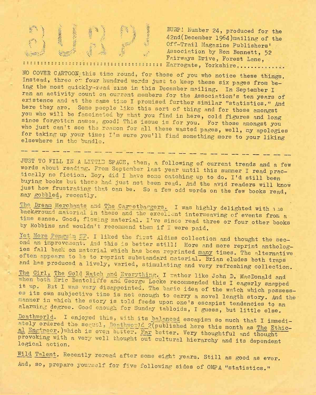

BURP! Number 24, produced for the<br>
42nd(December 1964)mailing of the<br>
Off-Trail Magazine Publishers'  $\frac{BDRP! \text{ Number 24, produced for the }42n \text{ (December 1964)maining of the }42n \text{ (December 1964)}$ Off-Trail Magazine Publishers' Association by Ron Bennett, 52 Fairways Drive, Forest Lane, ? ?? <sup>s</sup> u <sup>s</sup> ? <sup>s</sup> ? <sup>s</sup> <sup>s</sup>; <sup>s</sup> <sup>s</sup> ? <sup>s</sup> <sup>s</sup> u?:; <sup>s</sup> ; <sup>s</sup> <sup>s</sup> <sup>s</sup> <sup>s</sup>; s; ? u !; Harrogate , Yorkshire " .......

NO COVER CARTOON;this time round, for those of you who notice these things. Instead, three o- four hundred words just to keep these six pages from being the most quickly-read zine in this December mailing. In September I ran an activity count on current members for the Association's ten years of existence and at the same time I promised further similar "statistics." And here they are. Some people like this sort of thing and for those amongst you who will be fascinated by what you find in here, cold figures and long since forgotten names, good! This issue is for you. For those amongst you who just can't see the reason for all these wasted pages, well, my apologies for taking up your time; I'm sure you'll find something more to your liking elsewhere in the bundle.

JUST TO FILL IN A LITTLE SPACE, then, a following of current trends and a few words about reading. From September last year until this summer I read pracically no fiction. Boy, did <sup>I</sup> have some catching up to do. I'<sup>d</sup> still been buying books but these had just not been read. And the avid readers will know just how frustrating that can be. So a few odd words on the few books will all nay gobbled, recently. The contract of the contract of the contract of the contract of the contract of the contract of the contract of the contract of the contract of the contract of the contract of the contract of the con

The Dream Merchants and The Carpetbaggers. I was highly delighted with i .ie background material in these and the excellent interweaving of events from a time sense. Good, flowing material. I've since read three or four other books by Robbins and wouldn'<sup>t</sup> recommend them if I were paid.

Yet More Penguin SF. I liked the first Aldiss collection and thought the second an improvement. And this is better still! More and more reprint anthology ies fall back on material which has been reprinted many times. The alternative often appears to be to reprint substandard material. Brian eludes both traps The more Penguin SF. I liked the first Aldiss collection and thought the second an improvement. And this is better still! More and more reprint anthologies fall back on material which has been reprinted many times. The alt and has produced a lively, varied, stimulating and very refreshing collection.

The Girl, The Gold Watch and Everything. I rather like John D. MacDonald and when both Eric Bentcliffe and George Locke recommended this I eagerly snapped it up. But I was very disappointed. The basic idea of the watch which possesses its own subjective time is not enough to carry a novel length story. And the • -janner in which the story is told feeds upon one's escapist tendencies to an alarming degree. Good enough for Sunday tabloids, I guess, but little else

Deathworld. I enjoyed this, with its balanced escapism so much that I immediely ordered the secuol, Deathworld 2(published here this month as The Ethic al Engineer.)which is even better. Far better. Very thoughtful and thought provoking with a very well thought out cultural hierarchy and its dependent logical action.

Wild Talent. Recently reread after some eight years. Still as good as ever, And, so, prepare yourself for five following sides of OMPA "statistics."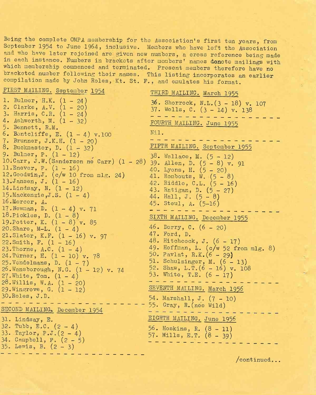Being the complete OMPA membership for the Association's first ten years, from September 1954 to June 1964, inclusive. Members who have left the Association and who have later rejoined are given new numbers, a cross reference being made in each instance. Numbers in brackets after members' names denote mailings with which membership commenced and terminated. Present members therefore have no bracketed number following their names. This listing incorporates an earlier compilation made by John Roles, Kt. St. F. , and emulates his format.

FIRST MAILING. September 1954 THIRD MAILING. March 1955 1. Bulmer, H.K. (1 - 24) 36. Shorrock, N.L.(3 - 18) v. 107 2. Clarke, A.V. (1 - 20) 37. Wells, C. (3 - 14) v. 138 3. Harris, C.R. (1 - 24) 4. Ashworth, M. (1-32) FOURTH MAILING. June 1955 5. Bennett, R.M. 6. Bontcliffe, E.  $(1 - 4) v.100$ Nil. 7. Brunner, J.K.H. (1 - 20) FIFTH MAILING. September 1955 8. Buckmaster, D. (1-32) 9. Bulmer, P. (1-12) 38. Wallace, M. (5 - 12) 10.  $Carr$ , J.W. (Sanderson ne  $Carr$ )  $(1 - 28)$ 39. Allen, D. (5 - 8) v. 91 ll. Enever, P. (1 - 16) 40. Lyons, H. (5 - 20) 12. Goodwin,*J,* (c/w 10 from mlg. 24) 41. Rombouts, W. (5 - 8) 13. Jansen, J.  $(1 - 16)$ 42. Riddle, C.L. (5 - 16)  $14$ . Lindsay, N.  $(1 - 12)$ 43- Ratigan, D. (5 — 27) 15. Mackenzie, J.S.  $(1-4)$ 44. Hall, J.  $(5 - 8)$ 16 .Mercer, A. 45. Steul, A. (5-16) 17 .Newman, D. (1 - 4) v. 71 المدالس الما 18. Pickles, D.  $(1 - 8)$ SIXTH MAILING. December 1955 19. Potter, K.  $(1 - 8)$  v. 85 46. Derry, C.  $(6 - 20)$ 20. Share,  $M-L. (1 - 4)$ 47. Ford, D. 21 .Slater, K.F. (1 - 16) v. 97 48. Hitchcock, J. (6 - 17) 22. Smith,  $F. (1 - 16)$ 49- Hoffman, L. (c/w 52 from mlg. 8) 23. Thorne,  $A.C. (1-4)$ 50. Pavlat, R.K.(6 - 29) 24 .Turner, H. (1 - 10) v, 78 51. Schulzinger, M.  $(6 - 13)$  $25.\text{Vendelmans}, D. (1 - 7)$ 52. Shaw,  $L.T.(6 - 16) v. 108$ 26. Wansborough, N.G.  $(1 - 12)$  v. 74 53. White, T.E.  $(6 - 17)$  $27.$  White, Tom.  $(1-4)$  $28.$  Willis, W.A.  $(1 - 20)$ SEVENTH MAILING. March 1956 29. Wingrove, G.  $(1 - 12)$ 30 .Roles, J.Do 54. Marshall, J. (7 - 10) 55. Gray, R. (nee Wild) SECOND MAILING. December 1954 EIGHTH MAILING. June 1956 31. Lindsay, E. 32. Tubb, E.C.  $(2-4)$ 56. Hoskins, R. (8 - 11) 33. Taylor, P.J.(2 - 4) 57. Mills, E.T. (8 - 39) 34- Campbell, P. (2-5)  $35.$  Lewis, B.  $(2 - 3)$ 

/continued...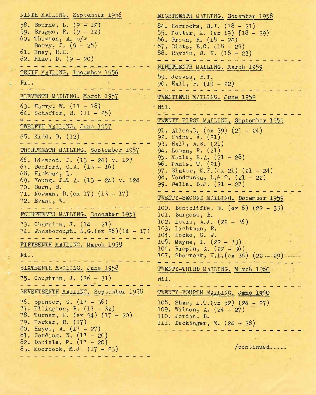NINTH MAILING. September 1956 58. Bourne, L. (9 - 12) 59. Briggs, R. (9 - 12) 60. Thomson, A. c/w Berry, J. (9-28) 61. Eney, R.H. 62. Riko, D. (9 - 20) میں کا ساتھ ساتھ ساتھ ساتھ ساتھ ساتھ TENTH MAILING. December 1956 Nil. فلا على على من من الله على الله من الله الله على ELEVENTH MAILING. March 1957 63. Harry, W. (11 - 18) 64. Schaffer, R. (11 - 25) <u>استرات کے مداحہ مداحہ مداحہ مداح</u> TWELFTH MAILING. June 1957 65. Kidd, B. (12) THIRTEENTH MAILING. September 1957 66. Linwood, J. (13 - 24) v. 123 67. Benford, G.A. (13 - 16) 68. Hickman, L. 69. Young, J.& A. (13 - 24) v. 124 70. Burn, B. 71. Newman, D.(ex 17) (13 - 17) 72. Evans, W. FOURTEENTH MAILING. December 1957 73. Champion, J. (14-21) 74. Wansborough, N.G.(ex 26)(14 - 17) المالية المالية المالية المالية المالية المالية FIFTEENTH MAILING. March 1958 Nil. SIXTEENTH MAILING. June 1958 75. Caughran, J, (16-31) والأستحقاق القرابط القرابط القرابط القرابط SEVENTEENTH MAILING. September 1958 76. Spencer, G. (17 -36) 77. Ellington, R. (17 - 32) 78. Turner, H. (ex 24) (17 - 20) 79. Parker, R. (17) 80. Hayes, A. (17 - 27) 81. Gerding, N. (17 - 20) 82. Daniele, P. (17 - 20) 83. Moorcock, M.J. (17 - 23)

EIGHTEENTH MAILING. December 1958 84. Horrocks, R.J. (18 - 21) 85. Potter, K. (ex 19) (18 - 29) 86. Brown, R. (18-24) 87. Dietz, B.C. (18 - 29) 88. Raybin, G. N. (18 - 23) NINETEENTH MAILING. March 1959 89. Jeeves, B.T. 90. Hall, B. (19 - 22) <u> 2002 - 2002 - 200</u> TWENTIETH MAILING. June 1959 Nil. TWENTY FIRST MAILING. September 1959 91. Allen, D. (ex 39)  $(21 - 24)$ 92. Faine, V. (21) 93. Hall, A.S. (21) 94. Leman, R. (21) 95. Madle, R.A. (21 - 28) 96. Pauls, T. (21) 97. Slater, K.F.(ex 21) (21 - 24) 98. Vondruska, L.& T. (21 - 22) 99. Wells, B.J.  $(21 - 27)$ and the first seat and the same TWENTY-SECOND MAILING. December 1959 100. Bentcliffe, E. (ex 6) (22 - 33) 101. Burgess, B. 102. Lewis, A.J. (22 - 36) 103. Lichtman, R. 104. Locke, G. W. 105. Mayne, I. (22-33) 106, Rispin, A. (22 - 36) 107. Shorrock, N.L.(ex 36)  $(22-29)$ TWENTY-THIRD MAILING. March i960 Nil. TWENTY-FOURTH MAILING. Jane i960 108. Shaw, L.T.  $(ex 52) (24 - 27)$ 109. Wilson, A. (24-27) 110. Jordan, B, 111. Deckinger, M. (24 - 28)

/continued.....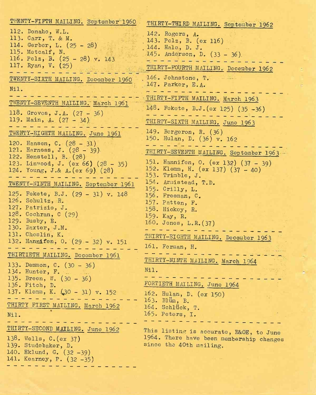| THIRTY-THIRD MAILING. September 1962                                                |
|-------------------------------------------------------------------------------------|
| THIRTY-FOURTH MAILING. December 1962                                                |
|                                                                                     |
|                                                                                     |
| THIRTY-SEVENTH MAILING. September 1963<br>151. Hannifen, O. (ex 132) (37 - 39)      |
|                                                                                     |
| THIRTY-EIGHTH MAILING. December 1963                                                |
|                                                                                     |
| This listing is accurate, E&OE, to June<br>1964. There have been membership changes |
|                                                                                     |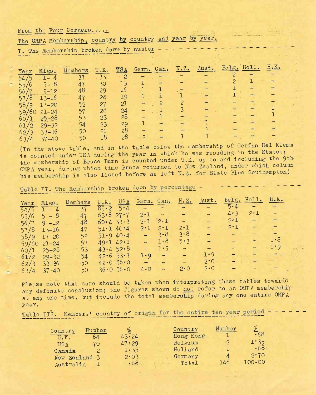From the Four Corners.....

|  |  | The OMPA Membership, country by country and year by year. |  |  |  |  |  |  |  |
|--|--|-----------------------------------------------------------|--|--|--|--|--|--|--|
|--|--|-----------------------------------------------------------|--|--|--|--|--|--|--|

I. The Membership broken down by number

|                      |           |         |             |            |                 |      |       |       | Holl. | H.K. |
|----------------------|-----------|---------|-------------|------------|-----------------|------|-------|-------|-------|------|
| Year                 | Mlgs.     | Members | $U$ . $K$ . | <b>USA</b> | Can.<br>$Gem$ . | N.2. | Aust. | Belg. |       |      |
|                      | 1-<br>4   | 37      | 33          |            |                 |      |       |       |       |      |
|                      | $5 - 8$   | 47      | 30          | 13         |                 |      |       |       |       |      |
| 55                   |           |         |             | 16         |                 |      |       |       |       |      |
| 56                   | $9 - 12$  | 48      | 29'         |            |                 |      |       |       |       |      |
| 8<br>57              | $13 - 16$ | 47      | 24          | 19         |                 |      |       |       |       |      |
| 58<br>٦Q             | $17 - 20$ | 52      | 27          | 21         |                 |      |       |       |       |      |
| '60<br>59            | $21 - 24$ | -57     | 28          | 24         |                 |      |       |       |       |      |
| 60/1                 | $25 - 28$ | 53      | 23          | 28         |                 |      |       |       |       |      |
| 61.<br>$\mathcal{P}$ | $29 - 32$ | 54      | 23          | 29         |                 |      |       |       |       |      |
| 62,                  | $33 - 36$ | 50      | 21          | 28         |                 |      |       |       |       |      |
| 63/1                 | $37 - 10$ | 50      | 18          | 28         |                 |      |       |       |       |      |

(In the above table, and in the table below the membership of Gorfan Hel Klemm is counted under USA during the year in which he was residing in the States; the membership of Bruce Burn is counted under U.K. up to and including the 9th OMPA year, during which time Bruce roturned to New Zealand, under which column his membership is also listed before he left N.Z. for Slate Blue Southampton)

Table II. The Membership broken down by percentage

| Year Mlgs. |                | Members         | $U_{\bullet}K_{\bullet}$ | USA                           |                                 | Germ. Can.                                                                                                                                                                                                                           | $N \cdot Z$ .  | Aust.                                                                             |                                 | Belg. Holl. H.K.                                                                                                                                                                                                                                                                                  |      |  |
|------------|----------------|-----------------|--------------------------|-------------------------------|---------------------------------|--------------------------------------------------------------------------------------------------------------------------------------------------------------------------------------------------------------------------------------|----------------|-----------------------------------------------------------------------------------|---------------------------------|---------------------------------------------------------------------------------------------------------------------------------------------------------------------------------------------------------------------------------------------------------------------------------------------------|------|--|
|            |                | $54/5$ 1 - 4 37 |                          |                               | $89.2$ 5.4 - - - -              |                                                                                                                                                                                                                                      |                | $\frac{1}{2}$                                                                     |                                 | $5 - 4 - - -$                                                                                                                                                                                                                                                                                     |      |  |
|            |                | 47              | 63.827.7                 |                               |                                 | $2-1$ - -                                                                                                                                                                                                                            |                | ÷.                                                                                | $4 \cdot 3$                     | $2 \cdot 1$                                                                                                                                                                                                                                                                                       |      |  |
|            | $55/6$ 5 – 8   | 48              |                          | $60 \cdot 4 \cdot 33 \cdot 3$ | $2 - 1$                         | $2 \cdot 1$ -                                                                                                                                                                                                                        |                | $\frac{1}{2} \frac{1}{2} \frac{1}{2} \frac{1}{2} \frac{1}{2}$                     |                                 | $2 \cdot 1$ $-$                                                                                                                                                                                                                                                                                   |      |  |
|            | $56/7$ 9 $-12$ |                 |                          | $51 \cdot 140 \cdot 4$        | $2 \cdot 1$                     | $2 \cdot 1$                                                                                                                                                                                                                          | $2 - 1$        | ш,                                                                                | $2 \cdot 1$                     | $\rightarrow$                                                                                                                                                                                                                                                                                     |      |  |
|            | $57/8$ 13-16   | 47              |                          |                               |                                 | $-3.8$                                                                                                                                                                                                                               | 3.8            | $\frac{1}{2}$ , $\frac{1}{2}$ , $\frac{1}{2}$                                     | $\frac{1}{2}$ and $\frac{1}{2}$ |                                                                                                                                                                                                                                                                                                   |      |  |
|            | $58/9$ 17-20   | 52              |                          | 51.940.4                      |                                 | 1.8                                                                                                                                                                                                                                  |                | $\frac{1}{2}$ , $\frac{1}{2}$                                                     | <b>Allen Mark</b>               | <b>Alberta</b>                                                                                                                                                                                                                                                                                    | 1.8  |  |
|            | $59/60$ 21-24  | 57              |                          | 49.142.1                      | $\frac{1}{2}$ and $\frac{1}{2}$ |                                                                                                                                                                                                                                      | 5.3            |                                                                                   |                                 |                                                                                                                                                                                                                                                                                                   | 1.9. |  |
|            | $60/1$ $25-28$ | 531             |                          | 43.452.8                      |                                 | $- 1.9$                                                                                                                                                                                                                              | <b>THE 200</b> | $\frac{1}{2} \left( \frac{1}{2} \right) = \frac{1}{2} \left( \frac{1}{2} \right)$ |                                 |                                                                                                                                                                                                                                                                                                   |      |  |
|            | $61/2$ 29-32   | .54             |                          | 42.653.7                      |                                 | $1 - 9 - 7$                                                                                                                                                                                                                          |                | $1 \cdot 9$                                                                       |                                 |                                                                                                                                                                                                                                                                                                   |      |  |
|            | $62/3$ 33-36   | $-50$           |                          | 42.056.0                      |                                 | <b>Production of the Contract of the Contract of the Contract of the Contract of the Contract of the Contract of the Contract of the Contract of the Contract of the Contract of the Contract of the Contract of the Contract of</b> |                | 2°0                                                                               |                                 | $\frac{\partial}{\partial \mathbf{u}}\mathbf{v}_{\mathbf{u}}=\frac{\partial}{\partial \mathbf{u}}\left[\begin{array}{cc} \mathbf{v}_{\mathbf{u}} & \mathbf{v}_{\mathbf{u}} \\ \mathbf{v}_{\mathbf{u}} & \mathbf{v}_{\mathbf{u}} \end{array}\right]\mathbf{v}_{\mathbf{u}}\mathbf{v}_{\mathbf{u}}$ |      |  |
|            | $63/4$ 37-40   | 50              |                          | 36.056.0                      | $4.0 -$                         |                                                                                                                                                                                                                                      | $2 \cdot 0$    | $2 \cdot 0$                                                                       |                                 |                                                                                                                                                                                                                                                                                                   |      |  |

Please note that care should be taken when interpreting these tables towards any definite conclusion; the figures shown do not refer to an OMPA membership at any one time, but include the total membership during any one entire OMPA year.

Table III. Members' country of origin for the entire ten year period

| Country       | Number | $\phi_{j\sigma}$ | Country   | Number | %          |
|---------------|--------|------------------|-----------|--------|------------|
| U.K.          | 64     | 43.24            | Hong Kong |        | $-68$      |
| USA           | 70     | $47 \cdot 29$    | Belgium   |        | $1 - 35$   |
| Canada        |        | 1.35             | Holland   |        | .68        |
| New Zealand 3 |        | 2.03             | Germany   | Δ      | 2.70       |
| Australia     |        | -68              | Total     | 148    | $100 - 00$ |